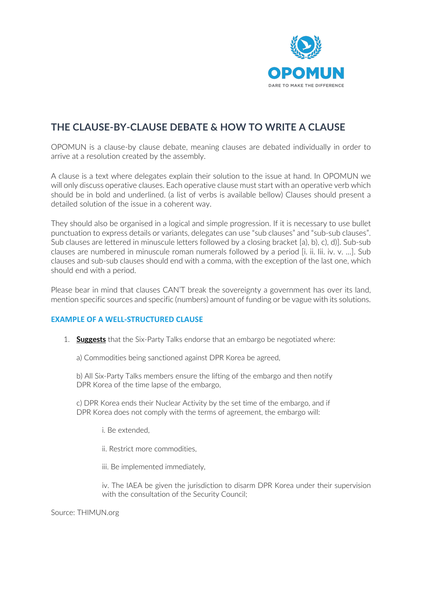

## **THE CLAUSE-BY-CLAUSE DEBATE & HOW TO WRITE A CLAUSE**

OPOMUN is a clause-by clause debate, meaning clauses are debated individually in order to arrive at a resolution created by the assembly.

A clause is a text where delegates explain their solution to the issue at hand. In OPOMUN we will only discuss operative clauses. Each operative clause must start with an operative verb which should be in bold and underlined. (a list of verbs is available bellow) Clauses should present a detailed solution of the issue in a coherent way.

They should also be organised in a logical and simple progression. If it is necessary to use bullet punctuation to express details or variants, delegates can use "sub clauses" and "sub-sub clauses". Sub clauses are lettered in minuscule letters followed by a closing bracket [a), b), c), d)]. Sub-sub clauses are numbered in minuscule roman numerals followed by a period [i. ii. Iii. iv. v. …]. Sub clauses and sub-sub clauses should end with a comma, with the exception of the last one, which should end with a period.

Please bear in mind that clauses CAN'T break the sovereignty a government has over its land, mention specific sources and specific (numbers) amount of funding or be vague with its solutions.

## **EXAMPLE OF A WELL-STRUCTURED CLAUSE**

1. **Suggests** that the Six-Party Talks endorse that an embargo be negotiated where:

a) Commodities being sanctioned against DPR Korea be agreed,

b) All Six-Party Talks members ensure the lifting of the embargo and then notify DPR Korea of the time lapse of the embargo,

c) DPR Korea ends their Nuclear Activity by the set time of the embargo, and if DPR Korea does not comply with the terms of agreement, the embargo will:

i. Be extended,

ii. Restrict more commodities,

iii. Be implemented immediately,

iv. The IAEA be given the jurisdiction to disarm DPR Korea under their supervision with the consultation of the Security Council;

Source: THIMUN.org